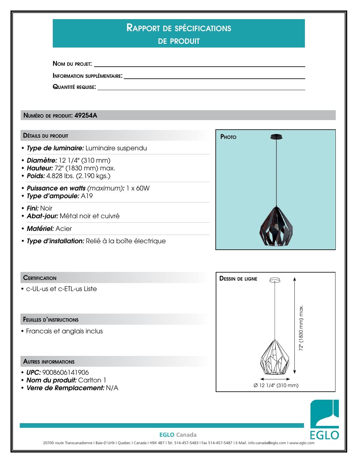| RAPPORT DE SPÉCIFICATIONS |
|---------------------------|
|---------------------------|

de produit

Nom du projet:

Information supplémentaire:

Quantité requise:

Numéro de produit: 49254A

### Détails du produit

- *Type de luminaire:* Luminaire suspendu
- *Diamètre:* 12 1/4" (310 mm)
- *Hauteur:* 72" (1830 mm) max.
- *Poids:* 4.828 lbs. (2.190 kgs.)
- *Puissance en watts (maximum):* 1 x 60W
- *Type d'ampoule:* A19
- • *Fini:* Noir
- *Abat-jour:* Métal noir et cuivré
- *Matériel:* Acier
- *Type d'installation:* Relié à la boîte électrique



# **CERTIFICATION**

• c-UL-us et c-ETL-us Liste

#### Feuilles d'instructions

• Francais et anglais inclus

### Autres informations

- *UPC:* 9008606141906
- **Nom du produit:** Carlton 1
- *Verre de Remplacement:* N/A





# **EGLO Canada**

20700 route Transcanadienne I Baie-D'Urfé I Quebec I Canada I H9X 4B7 I Tel. 514-457-5483 I Fax 514-457-5487 I E-Mail: info-canada@eglo.com I www.eglo.com